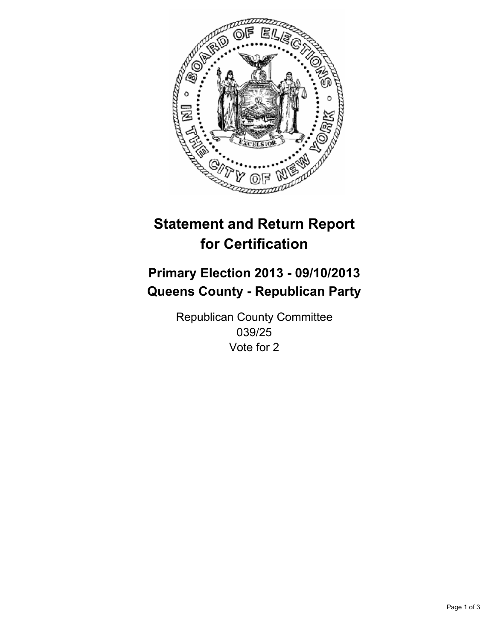

# **Statement and Return Report for Certification**

# **Primary Election 2013 - 09/10/2013 Queens County - Republican Party**

Republican County Committee 039/25 Vote for 2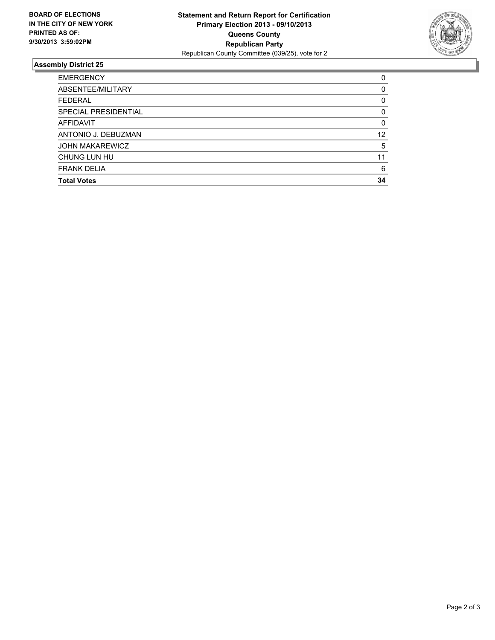

## **Assembly District 25**

| <b>EMERGENCY</b>       | 0        |
|------------------------|----------|
| ABSENTEE/MILITARY      | $\Omega$ |
| <b>FEDERAL</b>         | 0        |
| SPECIAL PRESIDENTIAL   | 0        |
| AFFIDAVIT              | 0        |
| ANTONIO J. DEBUZMAN    | 12       |
| <b>JOHN MAKAREWICZ</b> | 5        |
| CHUNG LUN HU           | 11       |
| <b>FRANK DELIA</b>     | 6        |
| <b>Total Votes</b>     | 34       |